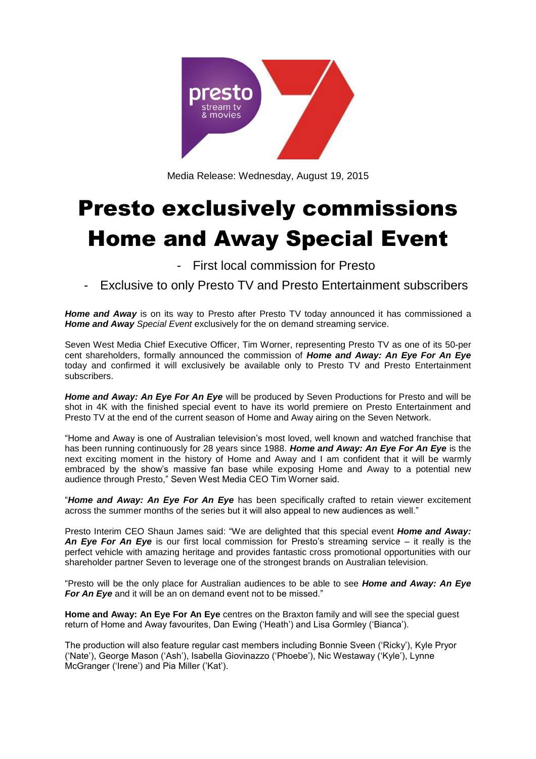

Media Release: Wednesday, August 19, 2015

# Presto exclusively commissions Home and Away Special Event

First local commission for Presto

Exclusive to only Presto TV and Presto Entertainment subscribers

*Home and Away* is on its way to Presto after Presto TV today announced it has commissioned a *Home and Away Special Event* exclusively for the on demand streaming service.

Seven West Media Chief Executive Officer, Tim Worner, representing Presto TV as one of its 50-per cent shareholders, formally announced the commission of *Home and Away: An Eye For An Eye* today and confirmed it will exclusively be available only to Presto TV and Presto Entertainment subscribers.

*Home and Away: An Eye For An Eye* will be produced by Seven Productions for Presto and will be shot in 4K with the finished special event to have its world premiere on Presto Entertainment and Presto TV at the end of the current season of Home and Away airing on the Seven Network.

"Home and Away is one of Australian television's most loved, well known and watched franchise that has been running continuously for 28 years since 1988. *Home and Away: An Eye For An Eye* is the next exciting moment in the history of Home and Away and I am confident that it will be warmly embraced by the show's massive fan base while exposing Home and Away to a potential new audience through Presto," Seven West Media CEO Tim Worner said.

"*Home and Away: An Eye For An Eye* has been specifically crafted to retain viewer excitement across the summer months of the series but it will also appeal to new audiences as well."

Presto Interim CEO Shaun James said: "We are delighted that this special event *Home and Away: An Eye For An Eye* is our first local commission for Presto's streaming service – it really is the perfect vehicle with amazing heritage and provides fantastic cross promotional opportunities with our shareholder partner Seven to leverage one of the strongest brands on Australian television.

"Presto will be the only place for Australian audiences to be able to see *Home and Away: An Eye For An Eye* and it will be an on demand event not to be missed."

**Home and Away: An Eye For An Eye** centres on the Braxton family and will see the special guest return of Home and Away favourites, Dan Ewing ('Heath') and Lisa Gormley ('Bianca').

The production will also feature regular cast members including Bonnie Sveen ('Ricky'), Kyle Pryor ('Nate'), George Mason ('Ash'), Isabella Giovinazzo ('Phoebe'), Nic Westaway ('Kyle'), Lynne McGranger ('Irene') and Pia Miller ('Kat').